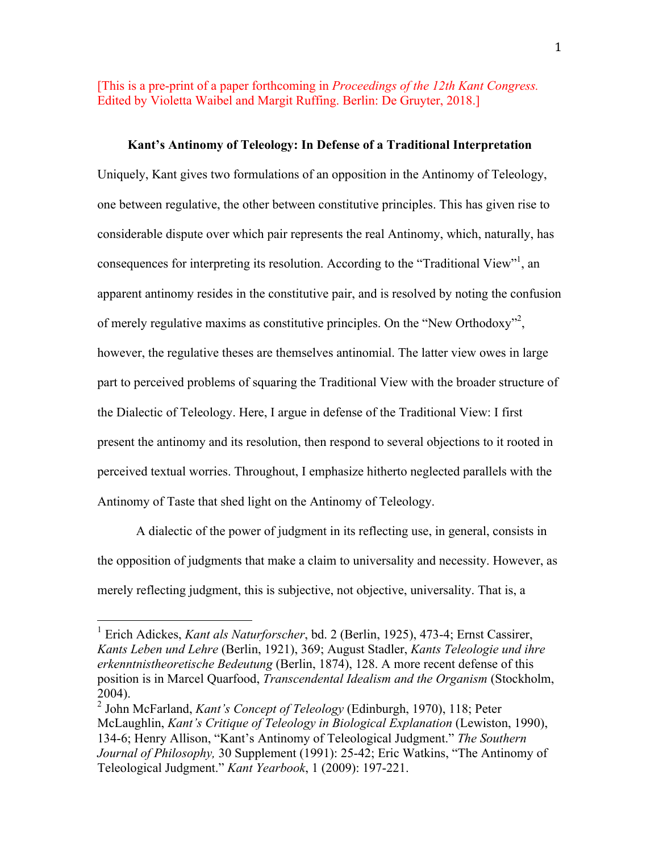[This is a pre-print of a paper forthcoming in *Proceedings of the 12th Kant Congress.*  Edited by Violetta Waibel and Margit Ruffing. Berlin: De Gruyter, 2018.]

## **Kant's Antinomy of Teleology: In Defense of a Traditional Interpretation**

Uniquely, Kant gives two formulations of an opposition in the Antinomy of Teleology, one between regulative, the other between constitutive principles. This has given rise to considerable dispute over which pair represents the real Antinomy, which, naturally, has consequences for interpreting its resolution. According to the "Traditional View"<sup>1</sup>, an apparent antinomy resides in the constitutive pair, and is resolved by noting the confusion of merely regulative maxims as constitutive principles. On the "New Orthodoxy"<sup>2</sup>, however, the regulative theses are themselves antinomial. The latter view owes in large part to perceived problems of squaring the Traditional View with the broader structure of the Dialectic of Teleology. Here, I argue in defense of the Traditional View: I first present the antinomy and its resolution, then respond to several objections to it rooted in perceived textual worries. Throughout, I emphasize hitherto neglected parallels with the Antinomy of Taste that shed light on the Antinomy of Teleology.

A dialectic of the power of judgment in its reflecting use, in general, consists in the opposition of judgments that make a claim to universality and necessity. However, as merely reflecting judgment, this is subjective, not objective, universality. That is, a

<sup>&</sup>lt;sup>1</sup> Erich Adickes, *Kant als Naturforscher*, bd. 2 (Berlin, 1925), 473-4; Ernst Cassirer, *Kants Leben und Lehre* (Berlin, 1921), 369; August Stadler, *Kants Teleologie und ihre erkenntnistheoretische Bedeutung* (Berlin, 1874), 128. A more recent defense of this position is in Marcel Quarfood, *Transcendental Idealism and the Organism* (Stockholm, 2004).

<sup>2</sup> John McFarland, *Kant's Concept of Teleology* (Edinburgh, 1970), 118; Peter McLaughlin, *Kant's Critique of Teleology in Biological Explanation* (Lewiston, 1990), 134-6; Henry Allison, "Kant's Antinomy of Teleological Judgment." *The Southern Journal of Philosophy,* 30 Supplement (1991): 25-42; Eric Watkins, "The Antinomy of Teleological Judgment." *Kant Yearbook*, 1 (2009): 197-221.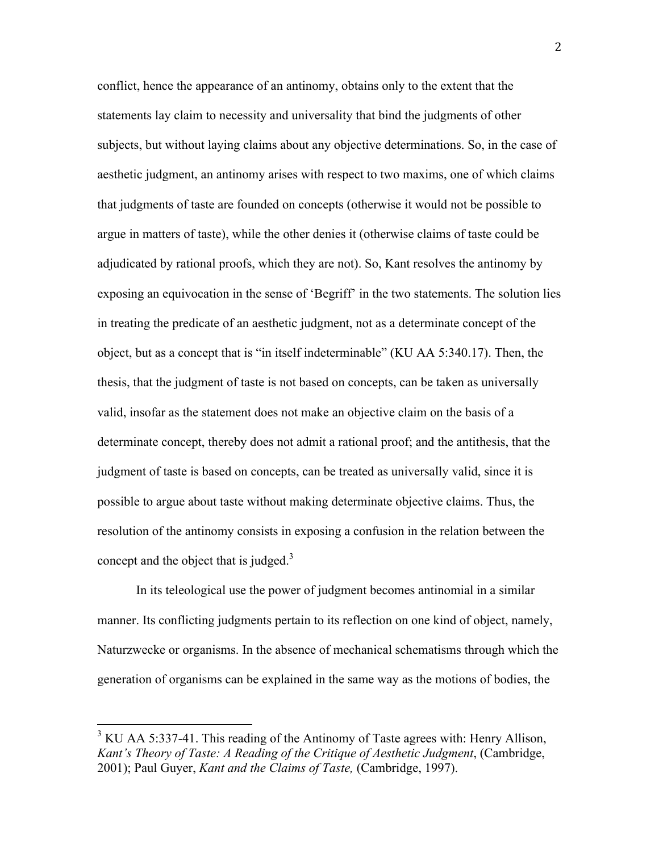conflict, hence the appearance of an antinomy, obtains only to the extent that the statements lay claim to necessity and universality that bind the judgments of other subjects, but without laying claims about any objective determinations. So, in the case of aesthetic judgment, an antinomy arises with respect to two maxims, one of which claims that judgments of taste are founded on concepts (otherwise it would not be possible to argue in matters of taste), while the other denies it (otherwise claims of taste could be adjudicated by rational proofs, which they are not). So, Kant resolves the antinomy by exposing an equivocation in the sense of 'Begriff' in the two statements. The solution lies in treating the predicate of an aesthetic judgment, not as a determinate concept of the object, but as a concept that is "in itself indeterminable" (KU AA 5:340.17). Then, the thesis, that the judgment of taste is not based on concepts, can be taken as universally valid, insofar as the statement does not make an objective claim on the basis of a determinate concept, thereby does not admit a rational proof; and the antithesis, that the judgment of taste is based on concepts, can be treated as universally valid, since it is possible to argue about taste without making determinate objective claims. Thus, the resolution of the antinomy consists in exposing a confusion in the relation between the concept and the object that is judged.<sup>3</sup>

In its teleological use the power of judgment becomes antinomial in a similar manner. Its conflicting judgments pertain to its reflection on one kind of object, namely, Naturzwecke or organisms. In the absence of mechanical schematisms through which the generation of organisms can be explained in the same way as the motions of bodies, the

<sup>&</sup>lt;sup>3</sup> KU AA 5:337-41. This reading of the Antinomy of Taste agrees with: Henry Allison, *Kant's Theory of Taste: A Reading of the Critique of Aesthetic Judgment*, (Cambridge, 2001); Paul Guyer, *Kant and the Claims of Taste,* (Cambridge, 1997).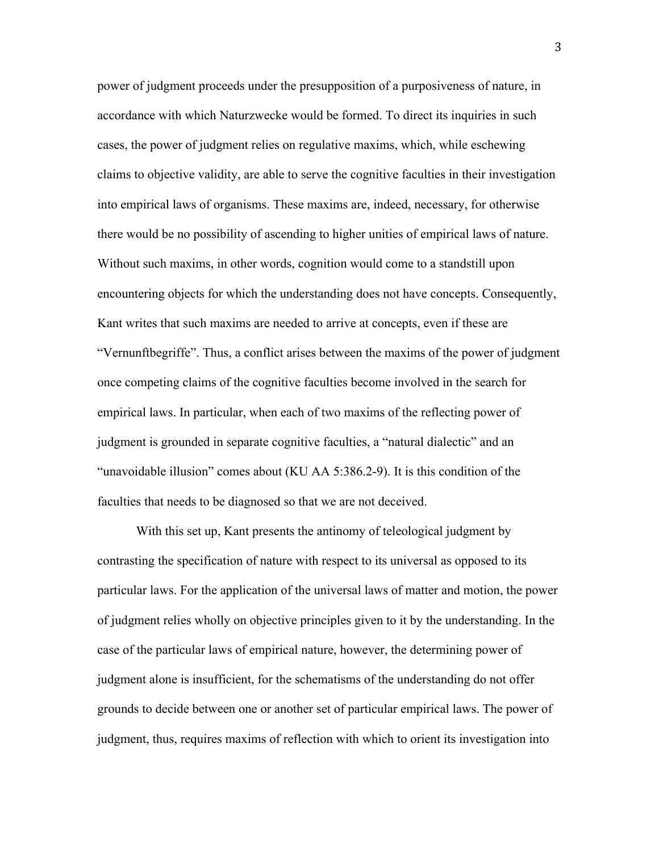power of judgment proceeds under the presupposition of a purposiveness of nature, in accordance with which Naturzwecke would be formed. To direct its inquiries in such cases, the power of judgment relies on regulative maxims, which, while eschewing claims to objective validity, are able to serve the cognitive faculties in their investigation into empirical laws of organisms. These maxims are, indeed, necessary, for otherwise there would be no possibility of ascending to higher unities of empirical laws of nature. Without such maxims, in other words, cognition would come to a standstill upon encountering objects for which the understanding does not have concepts. Consequently, Kant writes that such maxims are needed to arrive at concepts, even if these are "Vernunftbegriffe". Thus, a conflict arises between the maxims of the power of judgment once competing claims of the cognitive faculties become involved in the search for empirical laws. In particular, when each of two maxims of the reflecting power of judgment is grounded in separate cognitive faculties, a "natural dialectic" and an "unavoidable illusion" comes about (KU AA 5:386.2-9). It is this condition of the faculties that needs to be diagnosed so that we are not deceived.

With this set up, Kant presents the antinomy of teleological judgment by contrasting the specification of nature with respect to its universal as opposed to its particular laws. For the application of the universal laws of matter and motion, the power of judgment relies wholly on objective principles given to it by the understanding. In the case of the particular laws of empirical nature, however, the determining power of judgment alone is insufficient, for the schematisms of the understanding do not offer grounds to decide between one or another set of particular empirical laws. The power of judgment, thus, requires maxims of reflection with which to orient its investigation into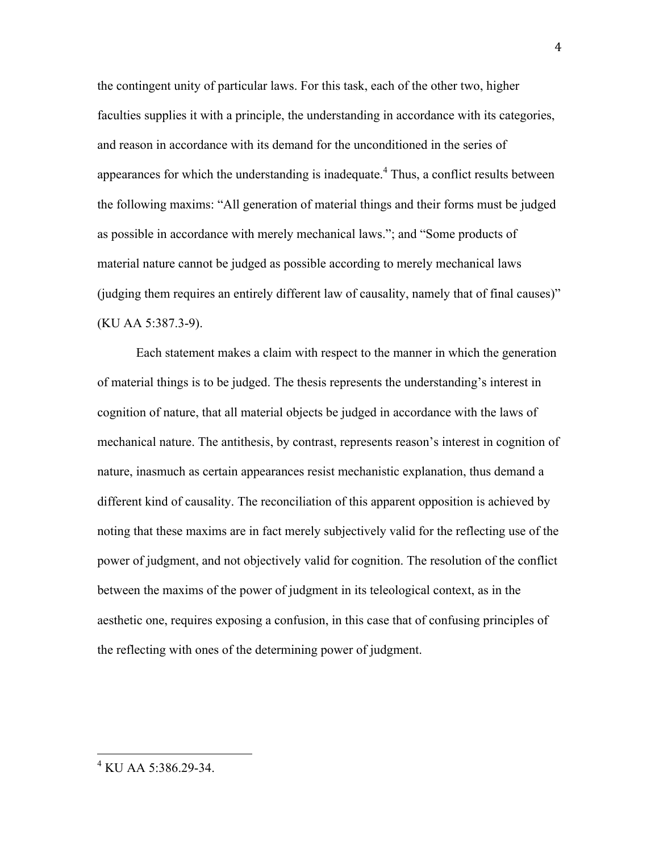the contingent unity of particular laws. For this task, each of the other two, higher faculties supplies it with a principle, the understanding in accordance with its categories, and reason in accordance with its demand for the unconditioned in the series of appearances for which the understanding is inadequate.<sup>4</sup> Thus, a conflict results between the following maxims: "All generation of material things and their forms must be judged as possible in accordance with merely mechanical laws."; and "Some products of material nature cannot be judged as possible according to merely mechanical laws (judging them requires an entirely different law of causality, namely that of final causes)" (KU AA 5:387.3-9).

Each statement makes a claim with respect to the manner in which the generation of material things is to be judged. The thesis represents the understanding's interest in cognition of nature, that all material objects be judged in accordance with the laws of mechanical nature. The antithesis, by contrast, represents reason's interest in cognition of nature, inasmuch as certain appearances resist mechanistic explanation, thus demand a different kind of causality. The reconciliation of this apparent opposition is achieved by noting that these maxims are in fact merely subjectively valid for the reflecting use of the power of judgment, and not objectively valid for cognition. The resolution of the conflict between the maxims of the power of judgment in its teleological context, as in the aesthetic one, requires exposing a confusion, in this case that of confusing principles of the reflecting with ones of the determining power of judgment.

 $4$  KU AA 5:386.29-34.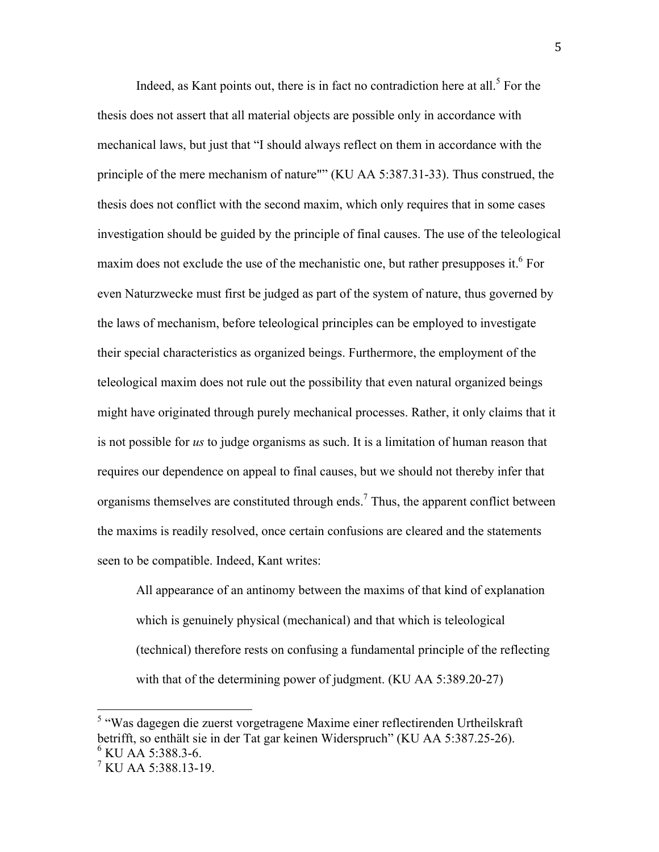Indeed, as Kant points out, there is in fact no contradiction here at all. $<sup>5</sup>$  For the</sup> thesis does not assert that all material objects are possible only in accordance with mechanical laws, but just that "I should always reflect on them in accordance with the principle of the mere mechanism of nature"" (KU AA 5:387.31-33). Thus construed, the thesis does not conflict with the second maxim, which only requires that in some cases investigation should be guided by the principle of final causes. The use of the teleological maxim does not exclude the use of the mechanistic one, but rather presupposes it.<sup>6</sup> For even Naturzwecke must first be judged as part of the system of nature, thus governed by the laws of mechanism, before teleological principles can be employed to investigate their special characteristics as organized beings. Furthermore, the employment of the teleological maxim does not rule out the possibility that even natural organized beings might have originated through purely mechanical processes. Rather, it only claims that it is not possible for *us* to judge organisms as such. It is a limitation of human reason that requires our dependence on appeal to final causes, but we should not thereby infer that organisms themselves are constituted through ends.<sup>7</sup> Thus, the apparent conflict between the maxims is readily resolved, once certain confusions are cleared and the statements seen to be compatible. Indeed, Kant writes:

All appearance of an antinomy between the maxims of that kind of explanation which is genuinely physical (mechanical) and that which is teleological (technical) therefore rests on confusing a fundamental principle of the reflecting with that of the determining power of judgment. (KU AA 5:389.20-27)

 <sup>5</sup> "Was dagegen die zuerst vorgetragene Maxime einer reflectirenden Urtheilskraft betrifft, so enthält sie in der Tat gar keinen Widerspruch" (KU AA 5:387.25-26).  $6$  KU AA 5:388.3-6.

<sup>7</sup> KU AA 5:388.13-19.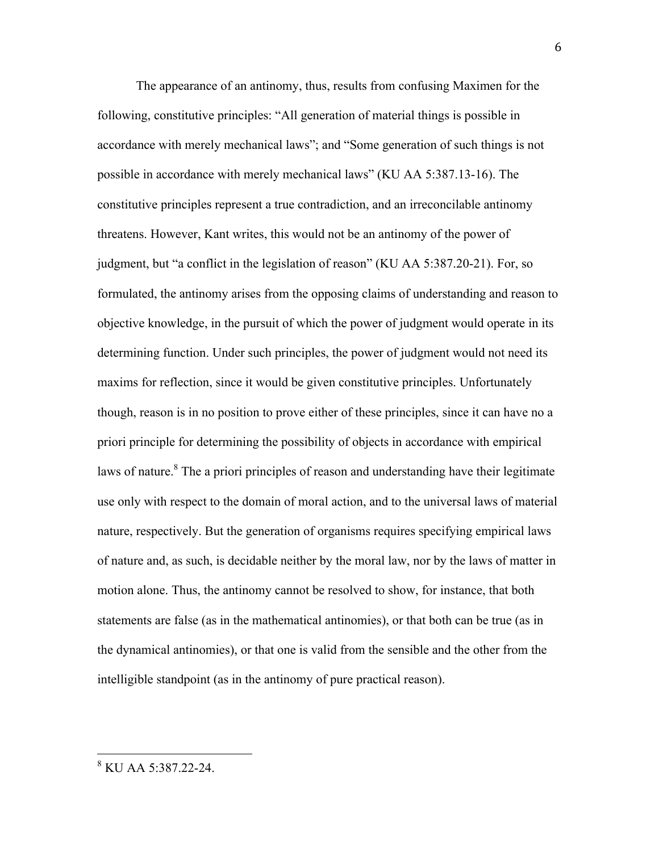The appearance of an antinomy, thus, results from confusing Maximen for the following, constitutive principles: "All generation of material things is possible in accordance with merely mechanical laws"; and "Some generation of such things is not possible in accordance with merely mechanical laws" (KU AA 5:387.13-16). The constitutive principles represent a true contradiction, and an irreconcilable antinomy threatens. However, Kant writes, this would not be an antinomy of the power of judgment, but "a conflict in the legislation of reason" (KU AA 5:387.20-21). For, so formulated, the antinomy arises from the opposing claims of understanding and reason to objective knowledge, in the pursuit of which the power of judgment would operate in its determining function. Under such principles, the power of judgment would not need its maxims for reflection, since it would be given constitutive principles. Unfortunately though, reason is in no position to prove either of these principles, since it can have no a priori principle for determining the possibility of objects in accordance with empirical laws of nature.<sup>8</sup> The a priori principles of reason and understanding have their legitimate use only with respect to the domain of moral action, and to the universal laws of material nature, respectively. But the generation of organisms requires specifying empirical laws of nature and, as such, is decidable neither by the moral law, nor by the laws of matter in motion alone. Thus, the antinomy cannot be resolved to show, for instance, that both statements are false (as in the mathematical antinomies), or that both can be true (as in the dynamical antinomies), or that one is valid from the sensible and the other from the intelligible standpoint (as in the antinomy of pure practical reason).

 <sup>8</sup> KU AA 5:387.22-24.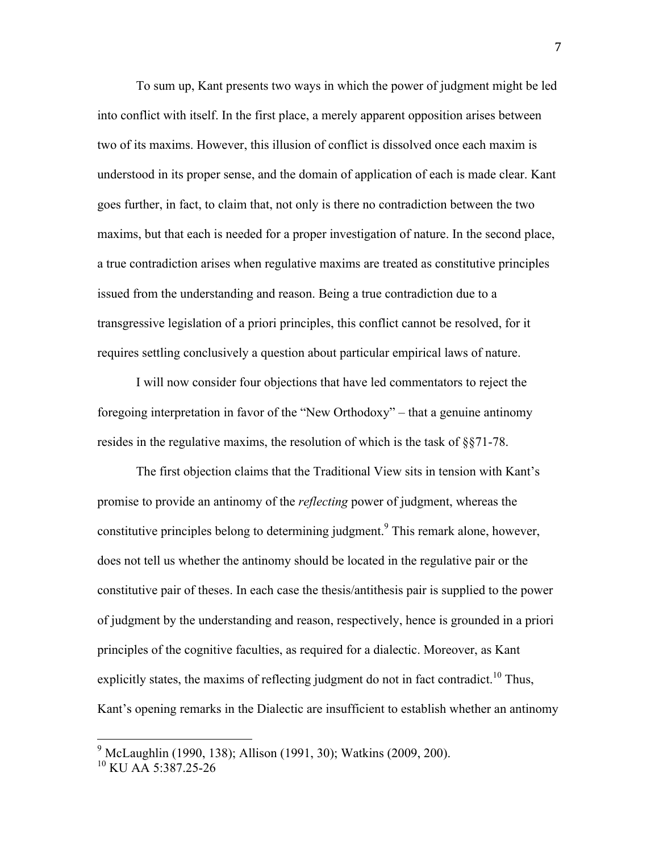To sum up, Kant presents two ways in which the power of judgment might be led into conflict with itself. In the first place, a merely apparent opposition arises between two of its maxims. However, this illusion of conflict is dissolved once each maxim is understood in its proper sense, and the domain of application of each is made clear. Kant goes further, in fact, to claim that, not only is there no contradiction between the two maxims, but that each is needed for a proper investigation of nature. In the second place, a true contradiction arises when regulative maxims are treated as constitutive principles issued from the understanding and reason. Being a true contradiction due to a transgressive legislation of a priori principles, this conflict cannot be resolved, for it requires settling conclusively a question about particular empirical laws of nature.

I will now consider four objections that have led commentators to reject the foregoing interpretation in favor of the "New Orthodoxy" – that a genuine antinomy resides in the regulative maxims, the resolution of which is the task of §§71-78.

The first objection claims that the Traditional View sits in tension with Kant's promise to provide an antinomy of the *reflecting* power of judgment, whereas the constitutive principles belong to determining judgment.<sup>9</sup> This remark alone, however, does not tell us whether the antinomy should be located in the regulative pair or the constitutive pair of theses. In each case the thesis/antithesis pair is supplied to the power of judgment by the understanding and reason, respectively, hence is grounded in a priori principles of the cognitive faculties, as required for a dialectic. Moreover, as Kant explicitly states, the maxims of reflecting judgment do not in fact contradict.<sup>10</sup> Thus, Kant's opening remarks in the Dialectic are insufficient to establish whether an antinomy

 <sup>9</sup> McLaughlin (1990, 138); Allison (1991, 30); Watkins (2009, 200).

 $10$  KU AA 5:387.25-26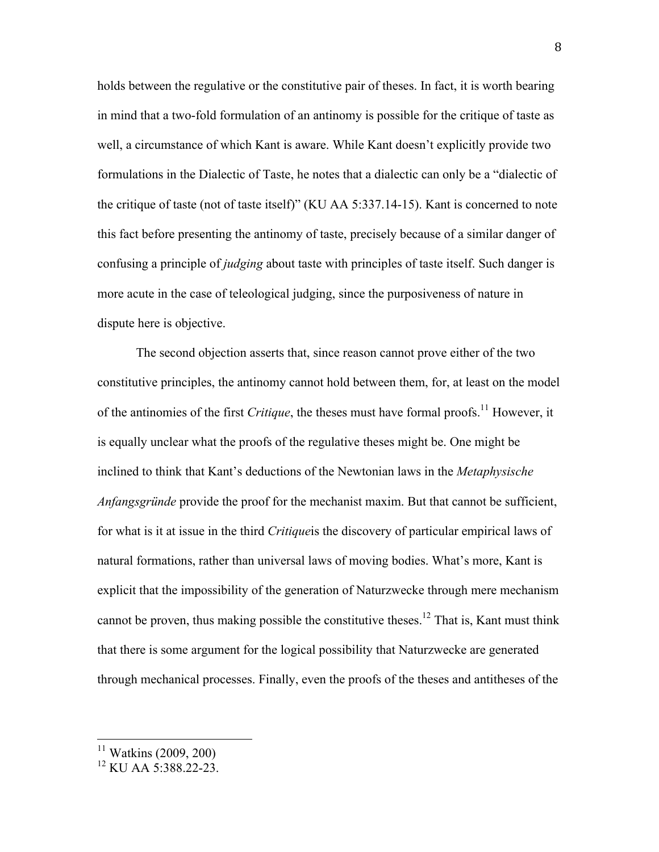holds between the regulative or the constitutive pair of theses. In fact, it is worth bearing in mind that a two-fold formulation of an antinomy is possible for the critique of taste as well, a circumstance of which Kant is aware. While Kant doesn't explicitly provide two formulations in the Dialectic of Taste, he notes that a dialectic can only be a "dialectic of the critique of taste (not of taste itself)" (KU AA 5:337.14-15). Kant is concerned to note this fact before presenting the antinomy of taste, precisely because of a similar danger of confusing a principle of *judging* about taste with principles of taste itself. Such danger is more acute in the case of teleological judging, since the purposiveness of nature in dispute here is objective.

The second objection asserts that, since reason cannot prove either of the two constitutive principles, the antinomy cannot hold between them, for, at least on the model of the antinomies of the first *Critique*, the theses must have formal proofs.<sup>11</sup> However, it is equally unclear what the proofs of the regulative theses might be. One might be inclined to think that Kant's deductions of the Newtonian laws in the *Metaphysische Anfangsgründe* provide the proof for the mechanist maxim. But that cannot be sufficient, for what is it at issue in the third *Critique*is the discovery of particular empirical laws of natural formations, rather than universal laws of moving bodies. What's more, Kant is explicit that the impossibility of the generation of Naturzwecke through mere mechanism cannot be proven, thus making possible the constitutive theses.<sup>12</sup> That is, Kant must think that there is some argument for the logical possibility that Naturzwecke are generated through mechanical processes. Finally, even the proofs of the theses and antitheses of the

<sup>&</sup>lt;sup>11</sup> Watkins (2009, 200)

 $12$  KU AA 5:388.22-23.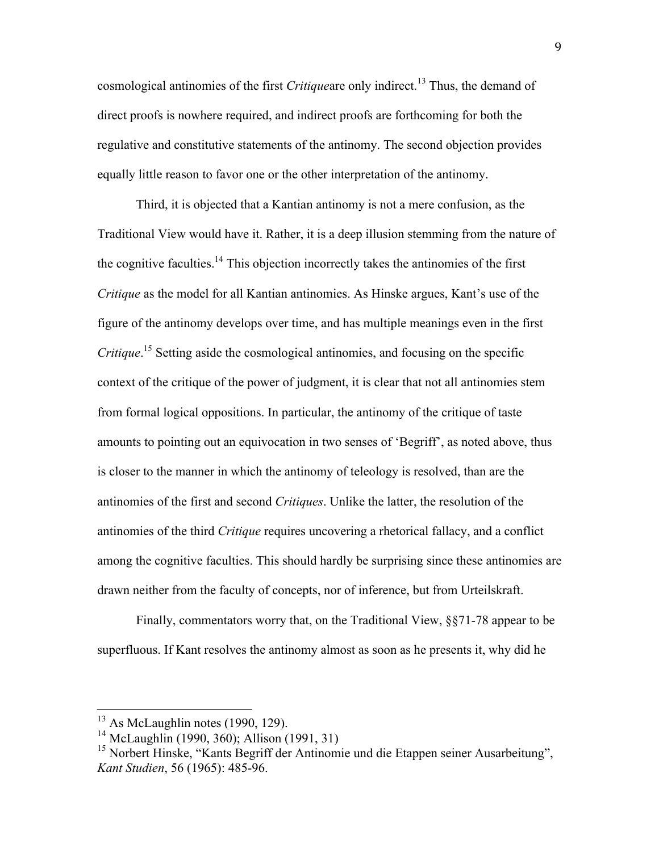cosmological antinomies of the first *Critique*are only indirect. <sup>13</sup> Thus, the demand of direct proofs is nowhere required, and indirect proofs are forthcoming for both the regulative and constitutive statements of the antinomy. The second objection provides equally little reason to favor one or the other interpretation of the antinomy.

Third, it is objected that a Kantian antinomy is not a mere confusion, as the Traditional View would have it. Rather, it is a deep illusion stemming from the nature of the cognitive faculties.<sup>14</sup> This objection incorrectly takes the antinomies of the first *Critique* as the model for all Kantian antinomies. As Hinske argues, Kant's use of the figure of the antinomy develops over time, and has multiple meanings even in the first *Critique*. <sup>15</sup> Setting aside the cosmological antinomies, and focusing on the specific context of the critique of the power of judgment, it is clear that not all antinomies stem from formal logical oppositions. In particular, the antinomy of the critique of taste amounts to pointing out an equivocation in two senses of 'Begriff', as noted above, thus is closer to the manner in which the antinomy of teleology is resolved, than are the antinomies of the first and second *Critiques*. Unlike the latter, the resolution of the antinomies of the third *Critique* requires uncovering a rhetorical fallacy, and a conflict among the cognitive faculties. This should hardly be surprising since these antinomies are drawn neither from the faculty of concepts, nor of inference, but from Urteilskraft.

Finally, commentators worry that, on the Traditional View, §§71-78 appear to be superfluous. If Kant resolves the antinomy almost as soon as he presents it, why did he

 $13$  As McLaughlin notes (1990, 129).

<sup>14</sup> McLaughlin (1990, 360); Allison (1991, 31)

<sup>&</sup>lt;sup>15</sup> Norbert Hinske, "Kants Begriff der Antinomie und die Etappen seiner Ausarbeitung", *Kant Studien*, 56 (1965): 485-96.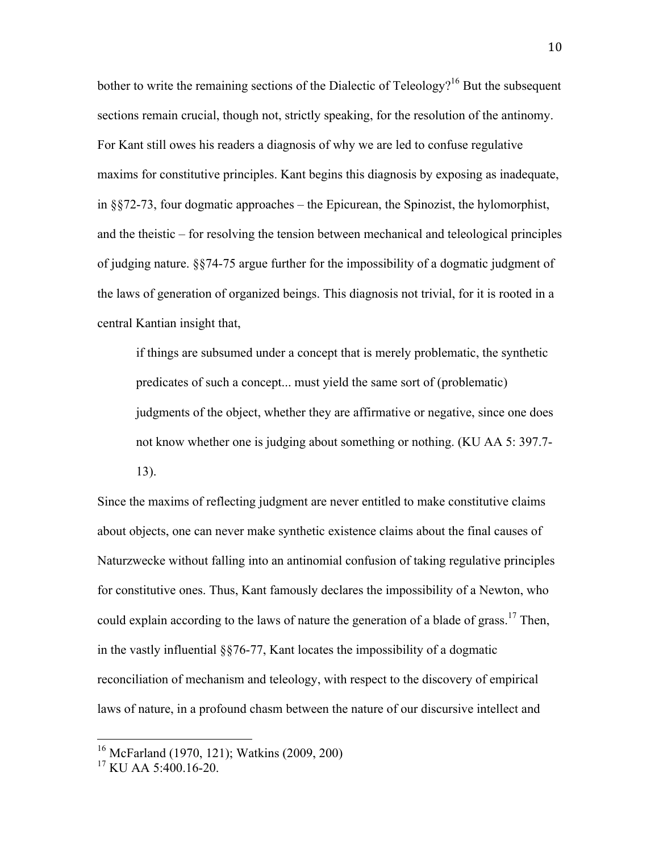bother to write the remaining sections of the Dialectic of Teleology?<sup>16</sup> But the subsequent sections remain crucial, though not, strictly speaking, for the resolution of the antinomy. For Kant still owes his readers a diagnosis of why we are led to confuse regulative maxims for constitutive principles. Kant begins this diagnosis by exposing as inadequate, in §§72-73, four dogmatic approaches – the Epicurean, the Spinozist, the hylomorphist, and the theistic – for resolving the tension between mechanical and teleological principles of judging nature. §§74-75 argue further for the impossibility of a dogmatic judgment of the laws of generation of organized beings. This diagnosis not trivial, for it is rooted in a central Kantian insight that,

if things are subsumed under a concept that is merely problematic, the synthetic predicates of such a concept... must yield the same sort of (problematic) judgments of the object, whether they are affirmative or negative, since one does not know whether one is judging about something or nothing. (KU AA 5: 397.7- 13).

Since the maxims of reflecting judgment are never entitled to make constitutive claims about objects, one can never make synthetic existence claims about the final causes of Naturzwecke without falling into an antinomial confusion of taking regulative principles for constitutive ones. Thus, Kant famously declares the impossibility of a Newton, who could explain according to the laws of nature the generation of a blade of grass.<sup>17</sup> Then, in the vastly influential §§76-77, Kant locates the impossibility of a dogmatic reconciliation of mechanism and teleology, with respect to the discovery of empirical laws of nature, in a profound chasm between the nature of our discursive intellect and

 <sup>16</sup> McFarland (1970, 121); Watkins (2009, 200)

 $17$  KU AA 5:400.16-20.